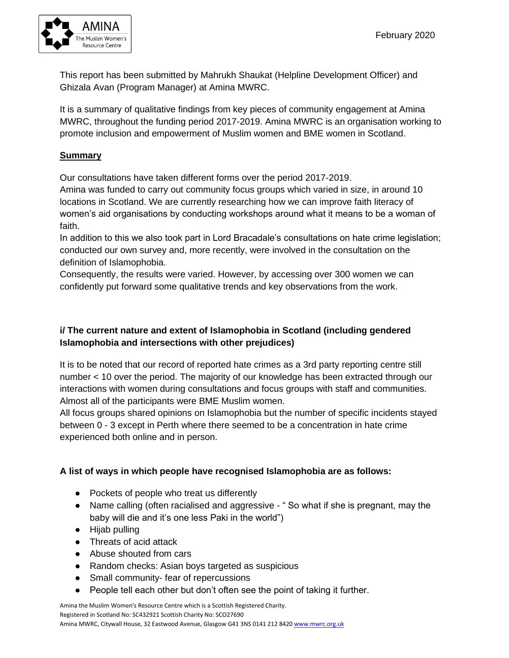

This report has been submitted by Mahrukh Shaukat (Helpline Development Officer) and Ghizala Avan (Program Manager) at Amina MWRC.

It is a summary of qualitative findings from key pieces of community engagement at Amina MWRC, throughout the funding period 2017-2019. Amina MWRC is an organisation working to promote inclusion and empowerment of Muslim women and BME women in Scotland.

#### **Summary**

Our consultations have taken different forms over the period 2017-2019.

Amina was funded to carry out community focus groups which varied in size, in around 10 locations in Scotland. We are currently researching how we can improve faith literacy of women's aid organisations by conducting workshops around what it means to be a woman of faith.

In addition to this we also took part in Lord Bracadale's consultations on hate crime legislation; conducted our own survey and, more recently, were involved in the consultation on the definition of Islamophobia.

Consequently, the results were varied. However, by accessing over 300 women we can confidently put forward some qualitative trends and key observations from the work.

# **i/ The current nature and extent of Islamophobia in Scotland (including gendered Islamophobia and intersections with other prejudices)**

It is to be noted that our record of reported hate crimes as a 3rd party reporting centre still number < 10 over the period. The majority of our knowledge has been extracted through our interactions with women during consultations and focus groups with staff and communities. Almost all of the participants were BME Muslim women.

All focus groups shared opinions on Islamophobia but the number of specific incidents stayed between 0 - 3 except in Perth where there seemed to be a concentration in hate crime experienced both online and in person.

# **A list of ways in which people have recognised Islamophobia are as follows:**

- Pockets of people who treat us differently
- Name calling (often racialised and aggressive "So what if she is pregnant, may the baby will die and it's one less Paki in the world")
- Hijab pulling
- Threats of acid attack
- Abuse shouted from cars
- Random checks: Asian boys targeted as suspicious
- Small community- fear of repercussions
- People tell each other but don't often see the point of taking it further.

Amina the Muslim Women's Resource Centre which is a Scottish Registered Charity. Registered in Scotland No: SC432921 Scottish Charity No: SCO27690 Amina MWRC, Citywall House, 32 Eastwood Avenue, Glasgow G41 3NS 0141 212 8420 [www.mwrc.org.uk](http://www.mwrc.org.uk/)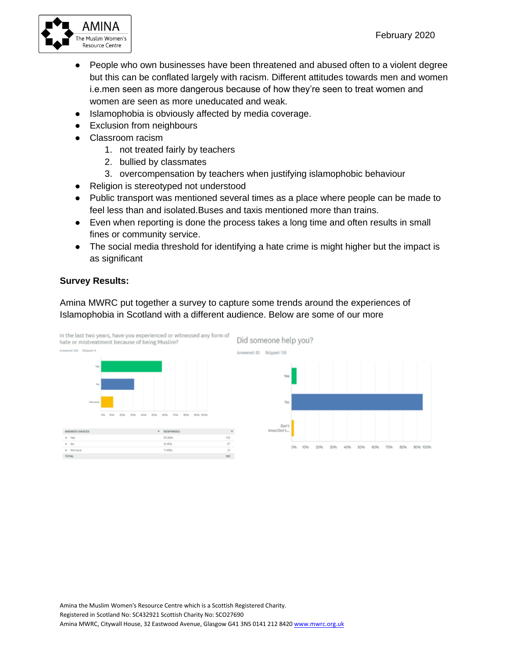

- People who own businesses have been threatened and abused often to a violent degree but this can be conflated largely with racism. Different attitudes towards men and women i.e.men seen as more dangerous because of how they're seen to treat women and women are seen as more uneducated and weak.
- Islamophobia is obviously affected by media coverage.
- Exclusion from neighbours
- Classroom racism
	- 1. not treated fairly by teachers
	- 2. bullied by classmates
	- 3. overcompensation by teachers when justifying islamophobic behaviour
- Religion is stereotyped not understood
- Public transport was mentioned several times as a place where people can be made to feel less than and isolated.Buses and taxis mentioned more than trains.
- Even when reporting is done the process takes a long time and often results in small fines or community service.
- The social media threshold for identifying a hate crime is might higher but the impact is as significant

#### **Survey Results:**

Amina MWRC put together a survey to capture some trends around the experiences of Islamophobia in Scotland with a different audience. Below are some of our more

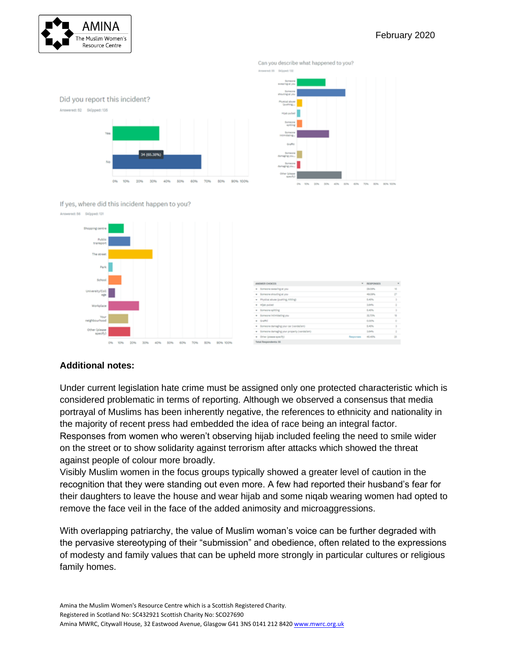

#### February 2020





Can you describe what happened to you?

#### If yes, where did this incident happen to you?



| <b>ANSWER CHOCES</b> |                                              |           | * RESPONSES | ٠  |
|----------------------|----------------------------------------------|-----------|-------------|----|
|                      | . Someone sexualing at you                   |           | 20.09%      | 16 |
|                      | . Someone shouting at you                    |           | 49.00%      | v  |
|                      | . Physical abuse Quarting, hittings          |           | 5,40%       | ÷  |
|                      | * High pulset                                |           | Laws.       | ÷  |
|                      | . Someone spitting                           |           | 1,45%       | ÷  |
|                      | · Someone intimidating you                   |           | 30.70%      | u  |
|                      | . draftd                                     |           | 0.00%       | ×  |
|                      | · Someone damaging your car (vandalism)      |           | 5.45%       | ×  |
|                      | . Someone damaging your property (vandalism) |           | 1,64%       | ٠  |
|                      | . Other (plasses specify)                    | Responses | 45,45%      | 25 |
|                      | We are all the company of the control of the |           |             |    |

# **Additional notes:**

Under current legislation hate crime must be assigned only one protected characteristic which is considered problematic in terms of reporting. Although we observed a consensus that media portrayal of Muslims has been inherently negative, the references to ethnicity and nationality in the majority of recent press had embedded the idea of race being an integral factor. Responses from women who weren't observing hijab included feeling the need to smile wider on the street or to show solidarity against terrorism after attacks which showed the threat against people of colour more broadly.

Visibly Muslim women in the focus groups typically showed a greater level of caution in the recognition that they were standing out even more. A few had reported their husband's fear for their daughters to leave the house and wear hijab and some niqab wearing women had opted to remove the face veil in the face of the added animosity and microaggressions.

With overlapping patriarchy, the value of Muslim woman's voice can be further degraded with the pervasive stereotyping of their "submission" and obedience, often related to the expressions of modesty and family values that can be upheld more strongly in particular cultures or religious family homes.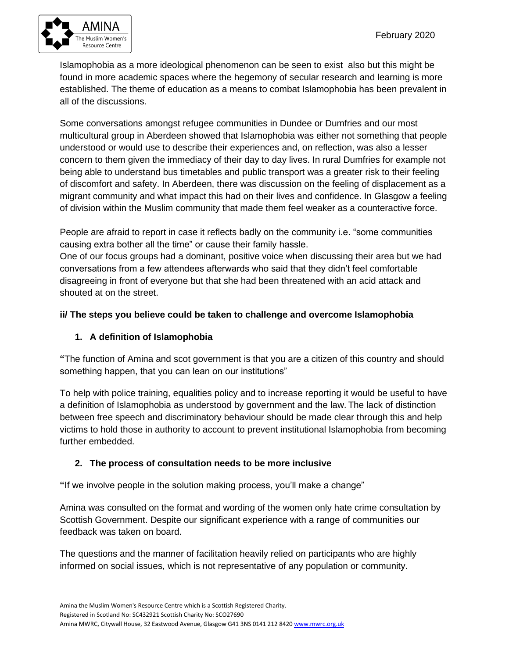

Islamophobia as a more ideological phenomenon can be seen to exist also but this might be found in more academic spaces where the hegemony of secular research and learning is more established. The theme of education as a means to combat Islamophobia has been prevalent in all of the discussions.

Some conversations amongst refugee communities in Dundee or Dumfries and our most multicultural group in Aberdeen showed that Islamophobia was either not something that people understood or would use to describe their experiences and, on reflection, was also a lesser concern to them given the immediacy of their day to day lives. In rural Dumfries for example not being able to understand bus timetables and public transport was a greater risk to their feeling of discomfort and safety. In Aberdeen, there was discussion on the feeling of displacement as a migrant community and what impact this had on their lives and confidence. In Glasgow a feeling of division within the Muslim community that made them feel weaker as a counteractive force.

People are afraid to report in case it reflects badly on the community i.e. "some communities causing extra bother all the time" or cause their family hassle.

One of our focus groups had a dominant, positive voice when discussing their area but we had conversations from a few attendees afterwards who said that they didn't feel comfortable disagreeing in front of everyone but that she had been threatened with an acid attack and shouted at on the street.

# **ii/ The steps you believe could be taken to challenge and overcome Islamophobia**

# **1. A definition of Islamophobia**

**"**The function of Amina and scot government is that you are a citizen of this country and should something happen, that you can lean on our institutions"

To help with police training, equalities policy and to increase reporting it would be useful to have a definition of Islamophobia as understood by government and the law. The lack of distinction between free speech and discriminatory behaviour should be made clear through this and help victims to hold those in authority to account to prevent institutional Islamophobia from becoming further embedded.

# **2. The process of consultation needs to be more inclusive**

**"**If we involve people in the solution making process, you'll make a change"

Amina was consulted on the format and wording of the women only hate crime consultation by Scottish Government. Despite our significant experience with a range of communities our feedback was taken on board.

The questions and the manner of facilitation heavily relied on participants who are highly informed on social issues, which is not representative of any population or community.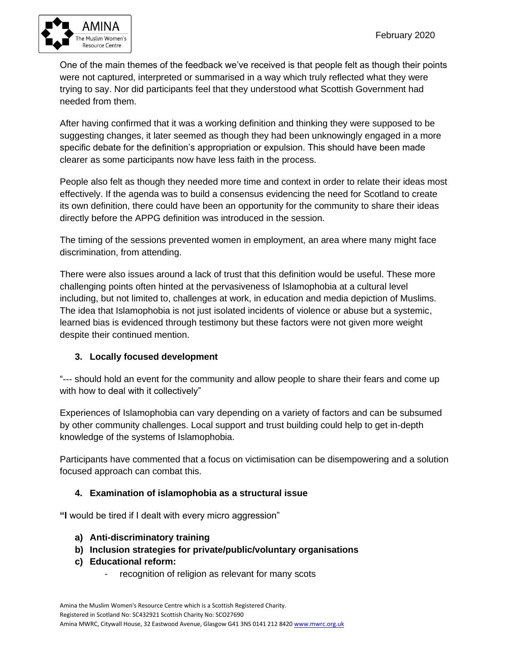

One of the main themes of the feedback we've received is that people felt as though their points were not captured, interpreted or summarised in a way which truly reflected what they were trying to say. Nor did participants feel that they understood what Scottish Government had needed from them.

After having confirmed that it was a working definition and thinking they were supposed to be suggesting changes, it later seemed as though they had been unknowingly engaged in a more specific debate for the definition's appropriation or expulsion. This should have been made clearer as some participants now have less faith in the process.

People also felt as though they needed more time and context in order to relate their ideas most effectively. If the agenda was to build a consensus evidencing the need for Scotland to create its own definition, there could have been an opportunity for the community to share their ideas directly before the APPG definition was introduced in the session.

The timing of the sessions prevented women in employment, an area where many might face discrimination, from attending.

There were also issues around a lack of trust that this definition would be useful. These more challenging points often hinted at the pervasiveness of Islamophobia at a cultural level including, but not limited to, challenges at work, in education and media depiction of Muslims. The idea that Islamophobia is not just isolated incidents of violence or abuse but a systemic, learned bias is evidenced through testimony but these factors were not given more weight despite their continued mention.

# **3. Locally focused development**

"--- should hold an event for the community and allow people to share their fears and come up with how to deal with it collectively"

Experiences of Islamophobia can vary depending on a variety of factors and can be subsumed by other community challenges. Local support and trust building could help to get in-depth knowledge of the systems of Islamophobia.

Participants have commented that a focus on victimisation can be disempowering and a solution focused approach can combat this.

# **4. Examination of islamophobia as a structural issue**

**"I** would be tired if I dealt with every micro aggression"

- **a) Anti-discriminatory training**
- **b) Inclusion strategies for private/public/voluntary organisations**
- **c) Educational reform:** 
	- recognition of religion as relevant for many scots